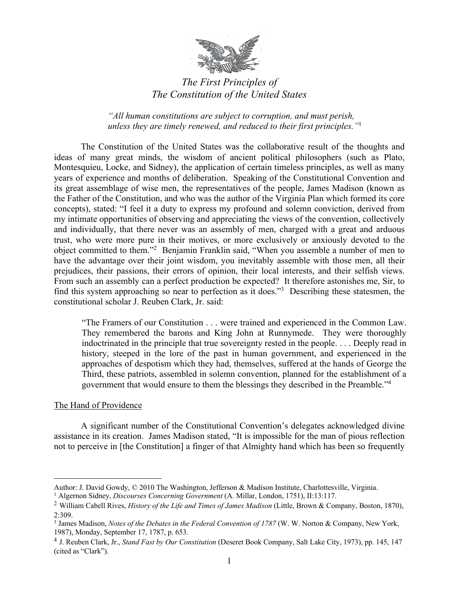

# *The First Principles of The Constitution of the United States*

*"All human constitutions are subject to corruption, and must perish, unless they are timely renewed, and reduced to their first principles."*<sup>1</sup>

The Constitution of the United States was the collaborative result of the thoughts and ideas of many great minds, the wisdom of ancient political philosophers (such as Plato, Montesquieu, Locke, and Sidney), the application of certain timeless principles, as well as many years of experience and months of deliberation. Speaking of the Constitutional Convention and its great assemblage of wise men, the representatives of the people, James Madison (known as the Father of the Constitution, and who was the author of the Virginia Plan which formed its core concepts), stated: "I feel it a duty to express my profound and solemn conviction, derived from my intimate opportunities of observing and appreciating the views of the convention, collectively and individually, that there never was an assembly of men, charged with a great and arduous trust, who were more pure in their motives, or more exclusively or anxiously devoted to the object committed to them."<sup>2</sup> Benjamin Franklin said, "When you assemble a number of men to have the advantage over their joint wisdom, you inevitably assemble with those men, all their prejudices, their passions, their errors of opinion, their local interests, and their selfish views. From such an assembly can a perfect production be expected? It therefore astonishes me, Sir, to find this system approaching so near to perfection as it does."3 Describing these statesmen, the constitutional scholar J. Reuben Clark, Jr. said:

"The Framers of our Constitution . . . were trained and experienced in the Common Law. They remembered the barons and King John at Runnymede. They were thoroughly indoctrinated in the principle that true sovereignty rested in the people. . . . Deeply read in history, steeped in the lore of the past in human government, and experienced in the approaches of despotism which they had, themselves, suffered at the hands of George the Third, these patriots, assembled in solemn convention, planned for the establishment of a government that would ensure to them the blessings they described in the Preamble."4

# The Hand of Providence

 $\overline{a}$ 

A significant number of the Constitutional Convention's delegates acknowledged divine assistance in its creation. James Madison stated, "It is impossible for the man of pious reflection not to perceive in [the Constitution] a finger of that Almighty hand which has been so frequently

Author: J. David Gowdy, © 2010 The Washington, Jefferson & Madison Institute, Charlottesville, Virginia.

<sup>1</sup> Algernon Sidney, *Discourses Concerning Government* (A. Millar, London, 1751), II:13:117.

<sup>2</sup> William Cabell Rives, *History of the Life and Times of James Madison* (Little, Brown & Company, Boston, 1870), 2:309.

<sup>&</sup>lt;sup>3</sup> James Madison, *Notes of the Debates in the Federal Convention of 1787* (W. W. Norton & Company, New York, 1987), Monday, September 17, 1787, p. 653.

<sup>4</sup> J. Reuben Clark, Jr., *Stand Fast by Our Constitution* (Deseret Book Company, Salt Lake City, 1973), pp. 145, 147 (cited as "Clark").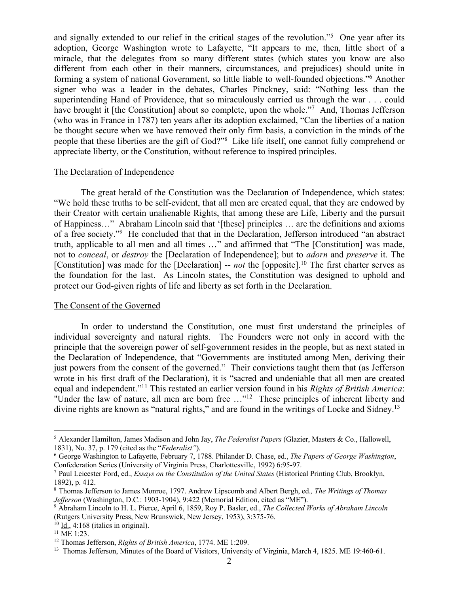and signally extended to our relief in the critical stages of the revolution."5 One year after its adoption, George Washington wrote to Lafayette, "It appears to me, then, little short of a miracle, that the delegates from so many different states (which states you know are also different from each other in their manners, circumstances, and prejudices) should unite in forming a system of national Government, so little liable to well-founded objections."6 Another signer who was a leader in the debates, Charles Pinckney, said: "Nothing less than the superintending Hand of Providence, that so miraculously carried us through the war . . . could have brought it [the Constitution] about so complete, upon the whole."<sup>7</sup> And, Thomas Jefferson (who was in France in 1787) ten years after its adoption exclaimed, "Can the liberties of a nation be thought secure when we have removed their only firm basis, a conviction in the minds of the people that these liberties are the gift of God?"8 Like life itself, one cannot fully comprehend or appreciate liberty, or the Constitution, without reference to inspired principles.

#### The Declaration of Independence

The great herald of the Constitution was the Declaration of Independence, which states: "We hold these truths to be self-evident, that all men are created equal, that they are endowed by their Creator with certain unalienable Rights, that among these are Life, Liberty and the pursuit of Happiness…"Abraham Lincoln said that '[these] principles … are the definitions and axioms of a free society."9 He concluded that that in the Declaration, Jefferson introduced "an abstract truth, applicable to all men and all times …" and affirmed that "The [Constitution] was made, not to *conceal*, or *destroy* the [Declaration of Independence]; but to *adorn* and *preserve* it. The [Constitution] was made for the [Declaration] -- *not* the [opposite].<sup>10</sup> The first charter serves as the foundation for the last. As Lincoln states, the Constitution was designed to uphold and protect our God-given rights of life and liberty as set forth in the Declaration.

#### The Consent of the Governed

In order to understand the Constitution, one must first understand the principles of individual sovereignty and natural rights. The Founders were not only in accord with the principle that the sovereign power of self-government resides in the people, but as next stated in the Declaration of Independence, that "Governments are instituted among Men, deriving their just powers from the consent of the governed." Their convictions taught them that (as Jefferson wrote in his first draft of the Declaration), it is "sacred and undeniable that all men are created equal and independent."11 This restated an earlier version found in his *Rights of British America*: "Under the law of nature, all men are born free ..."<sup>12</sup> These principles of inherent liberty and divine rights are known as "natural rights," and are found in the writings of Locke and Sidney.<sup>13</sup>

 <sup>5</sup> Alexander Hamilton, James Madison and John Jay, *The Federalist Papers* (Glazier, Masters & Co., Hallowell, 1831), No. 37, p. 179 (cited as the "*Federalist"*).

<sup>6</sup> George Washington to Lafayette, February 7, 1788. Philander D. Chase, ed., *The Papers of George Washington*, Confederation Series (University of Virginia Press, Charlottesville, 1992) 6:95-97.

<sup>7</sup> Paul Leicester Ford, ed., *Essays on the Constitution of the United States* (Historical Printing Club, Brooklyn, 1892), p. 412.

<sup>8</sup> Thomas Jefferson to James Monroe, 1797. Andrew Lipscomb and Albert Bergh, ed.*, The Writings of Thomas Jefferson* (Washington, D.C.: 1903-1904), 9:422 (Memorial Edition, cited as "ME").

<sup>9</sup> Abraham Lincoln to H. L. Pierce, April 6, 1859, Roy P. Basler, ed., *The Collected Works of Abraham Lincoln* (Rutgers University Press, New Brunswick, New Jersey, 1953), 3:375-76.

 $10$  Id., 4:168 (italics in original).

 $11$  ME 1:23.

<sup>12</sup> Thomas Jefferson, *Rights of British America*, 1774. ME 1:209.

<sup>&</sup>lt;sup>13</sup> Thomas Jefferson, Minutes of the Board of Visitors, University of Virginia, March 4, 1825. ME 19:460-61.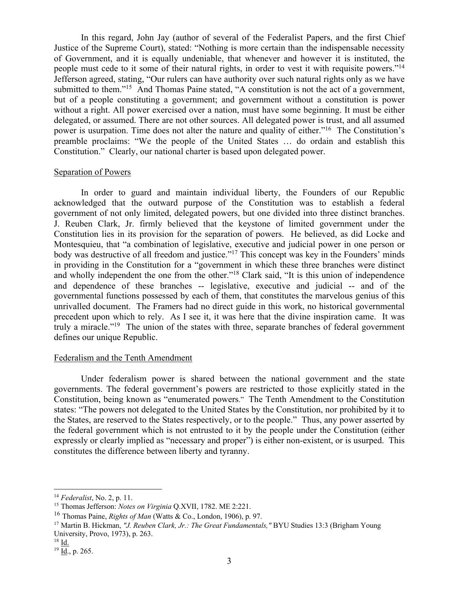In this regard, John Jay (author of several of the Federalist Papers, and the first Chief Justice of the Supreme Court), stated: "Nothing is more certain than the indispensable necessity of Government, and it is equally undeniable, that whenever and however it is instituted, the people must cede to it some of their natural rights, in order to vest it with requisite powers."14 Jefferson agreed, stating, "Our rulers can have authority over such natural rights only as we have submitted to them."<sup>15</sup> And Thomas Paine stated, "A constitution is not the act of a government, but of a people constituting a government; and government without a constitution is power without a right. All power exercised over a nation, must have some beginning. It must be either delegated, or assumed. There are not other sources. All delegated power is trust, and all assumed power is usurpation. Time does not alter the nature and quality of either."16 The Constitution's preamble proclaims: "We the people of the United States … do ordain and establish this Constitution." Clearly, our national charter is based upon delegated power.

### Separation of Powers

In order to guard and maintain individual liberty, the Founders of our Republic acknowledged that the outward purpose of the Constitution was to establish a federal government of not only limited, delegated powers, but one divided into three distinct branches. J. Reuben Clark, Jr. firmly believed that the keystone of limited government under the Constitution lies in its provision for the separation of powers. He believed, as did Locke and Montesquieu, that "a combination of legislative, executive and judicial power in one person or body was destructive of all freedom and justice."<sup>17</sup> This concept was key in the Founders' minds in providing in the Constitution for a "government in which these three branches were distinct and wholly independent the one from the other."<sup>18</sup> Clark said, "It is this union of independence and dependence of these branches -- legislative, executive and judicial -- and of the governmental functions possessed by each of them, that constitutes the marvelous genius of this unrivalled document. The Framers had no direct guide in this work, no historical governmental precedent upon which to rely. As I see it, it was here that the divine inspiration came. It was truly a miracle."19 The union of the states with three, separate branches of federal government defines our unique Republic.

# Federalism and the Tenth Amendment

Under federalism power is shared between the national government and the state governments. The federal government's powers are restricted to those explicitly stated in the Constitution, being known as "enumerated powers." The Tenth Amendment to the Constitution states: "The powers not delegated to the United States by the Constitution, nor prohibited by it to the States, are reserved to the States respectively, or to the people." Thus, any power asserted by the federal government which is not entrusted to it by the people under the Constitution (either expressly or clearly implied as "necessary and proper") is either non-existent, or is usurped. This constitutes the difference between liberty and tyranny.

 <sup>14</sup> *Federalist*, No. 2, p. 11.

<sup>15</sup> Thomas Jefferson: *Notes on Virginia* Q.XVII, 1782. ME 2:221.

<sup>16</sup> Thomas Paine, *Rights of Man* (Watts & Co., London, 1906), p. 97.

<sup>17</sup> Martin B. Hickman, *"J. Reuben Clark, Jr.: The Great Fundamentals,"* BYU Studies 13:3 (Brigham Young University, Provo, 1973), p. 263.

 $18 \underline{Id.}$ 

 $19$  Id., p. 265.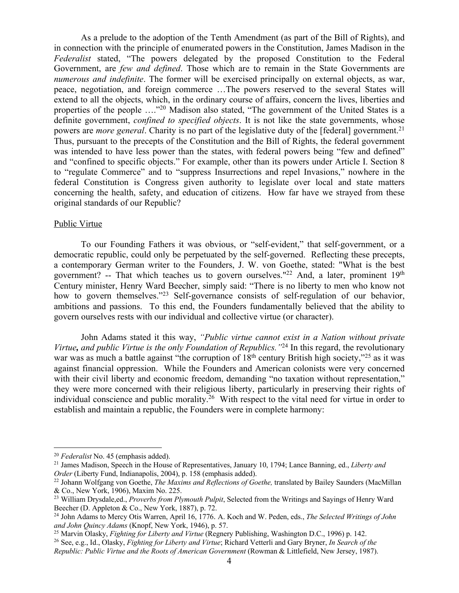As a prelude to the adoption of the Tenth Amendment (as part of the Bill of Rights), and in connection with the principle of enumerated powers in the Constitution, James Madison in the *Federalist* stated, "The powers delegated by the proposed Constitution to the Federal Government, are *few and defined*. Those which are to remain in the State Governments are *numerous and indefinite*. The former will be exercised principally on external objects, as war, peace, negotiation, and foreign commerce …The powers reserved to the several States will extend to all the objects, which, in the ordinary course of affairs, concern the lives, liberties and properties of the people …."20 Madison also stated, "The government of the United States is a definite government, *confined to specified objects*. It is not like the state governments, whose powers are *more general*. Charity is no part of the legislative duty of the [federal] government.21 Thus, pursuant to the precepts of the Constitution and the Bill of Rights, the federal government was intended to have less power than the states, with federal powers being "few and defined" and "confined to specific objects." For example, other than its powers under Article I. Section 8 to "regulate Commerce" and to "suppress Insurrections and repel Invasions," nowhere in the federal Constitution is Congress given authority to legislate over local and state matters concerning the health, safety, and education of citizens. How far have we strayed from these original standards of our Republic?

#### Public Virtue

To our Founding Fathers it was obvious, or "self-evident," that self-government, or a democratic republic, could only be perpetuated by the self-governed. Reflecting these precepts, a contemporary German writer to the Founders, J. W. von Goethe, stated: "What is the best government? -- That which teaches us to govern ourselves."<sup>22</sup> And, a later, prominent 19<sup>th</sup> Century minister, Henry Ward Beecher, simply said: "There is no liberty to men who know not how to govern themselves."<sup>23</sup> Self-governance consists of self-regulation of our behavior, ambitions and passions. To this end, the Founders fundamentally believed that the ability to govern ourselves rests with our individual and collective virtue (or character).

John Adams stated it this way, *"Public virtue cannot exist in a Nation without private Virtue, and public Virtue is the only Foundation of Republics."*<sup>24</sup> In this regard, the revolutionary war was as much a battle against "the corruption of  $18<sup>th</sup>$  century British high society,"<sup>25</sup> as it was against financial oppression. While the Founders and American colonists were very concerned with their civil liberty and economic freedom, demanding "no taxation without representation," they were more concerned with their religious liberty, particularly in preserving their rights of individual conscience and public morality. 26 With respect to the vital need for virtue in order to establish and maintain a republic, the Founders were in complete harmony:

 <sup>20</sup> *Federalist* No. 45 (emphasis added).

<sup>21</sup> James Madison, Speech in the House of Representatives, January 10, 1794; Lance Banning, ed., *Liberty and Order* (Liberty Fund, Indianapolis, 2004), p. 158 (emphasis added).

<sup>22</sup> Johann Wolfgang von Goethe, *The Maxims and Reflections of Goethe,* translated by Bailey Saunders (MacMillan & Co., New York, 1906), Maxim No. 225.

<sup>23</sup> William Drysdale,ed., *Proverbs from Plymouth Pulpit*, Selected from the Writings and Sayings of Henry Ward Beecher (D. Appleton & Co., New York, 1887), p. 72.

<sup>24</sup> John Adams to Mercy Otis Warren, April 16, 1776. A. Koch and W. Peden, eds., *The Selected Writings of John and John Quincy Adams* (Knopf, New York, 1946), p. 57.

<sup>25</sup> Marvin Olasky, *Fighting for Liberty and Virtue* (Regnery Publishing, Washington D.C., 1996) p. 142.

<sup>26</sup> See, e.g., Id., Olasky, *Fighting for Liberty and Virtue*; Richard Vetterli and Gary Bryner, *In Search of the Republic: Public Virtue and the Roots of American Government* (Rowman & Littlefield, New Jersey, 1987).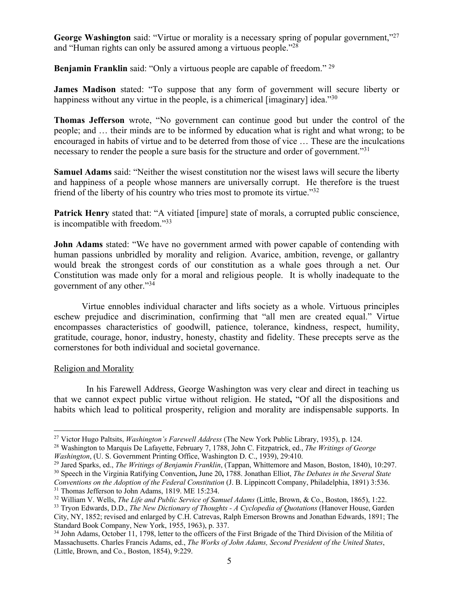**George Washington** said: "Virtue or morality is a necessary spring of popular government,"<sup>27</sup> and "Human rights can only be assured among a virtuous people."28

**Benjamin Franklin** said: "Only a virtuous people are capable of freedom." <sup>29</sup>

**James Madison** stated: "To suppose that any form of government will secure liberty or happiness without any virtue in the people, is a chimerical [imaginary] idea."30

**Thomas Jefferson** wrote, "No government can continue good but under the control of the people; and … their minds are to be informed by education what is right and what wrong; to be encouraged in habits of virtue and to be deterred from those of vice … These are the inculcations necessary to render the people a sure basis for the structure and order of government."<sup>31</sup>

**Samuel Adams** said: "Neither the wisest constitution nor the wisest laws will secure the liberty and happiness of a people whose manners are universally corrupt. He therefore is the truest friend of the liberty of his country who tries most to promote its virtue."<sup>32</sup>

**Patrick Henry** stated that: "A vitiated [impure] state of morals, a corrupted public conscience, is incompatible with freedom."33

**John Adams** stated: "We have no government armed with power capable of contending with human passions unbridled by morality and religion. Avarice, ambition, revenge, or gallantry would break the strongest cords of our constitution as a whale goes through a net. Our Constitution was made only for a moral and religious people. It is wholly inadequate to the government of any other."34

Virtue ennobles individual character and lifts society as a whole. Virtuous principles eschew prejudice and discrimination, confirming that "all men are created equal." Virtue encompasses characteristics of goodwill, patience, tolerance, kindness, respect, humility, gratitude, courage, honor, industry, honesty, chastity and fidelity. These precepts serve as the cornerstones for both individual and societal governance.

# Religion and Morality

In his Farewell Address, George Washington was very clear and direct in teaching us that we cannot expect public virtue without religion. He stated**,** "Of all the dispositions and habits which lead to political prosperity, religion and morality are indispensable supports. In

 <sup>27</sup> Victor Hugo Paltsits, *Washington's Farewell Address* (The New York Public Library, 1935), p. 124.

<sup>28</sup> Washington to Marquis De Lafayette, February 7, 1788, John C. Fitzpatrick, ed., *The Writings of George Washington*, (U. S. Government Printing Office, Washington D. C., 1939), 29:410.<br><sup>29</sup> Jared Sparks, ed., *The Writings of Benjamin Franklin*, (Tappan, Whittemore and Mason, Boston, 1840), 10:297.

<sup>30</sup> Speech in the Virginia Ratifying Convention**,** June 20**,** 1788. Jonathan Elliot, *The Debates in the Several State Conventions on the Adoption of the Federal Constitution* (J. B. Lippincott Company, Philadelphia, 1891) 3:536. <sup>31</sup> Thomas Jefferson to John Adams, 1819. ME 15:234.

<sup>32</sup> William V. Wells, *The Life and Public Service of Samuel Adams* (Little, Brown, & Co., Boston, 1865), 1:22.

<sup>33</sup> Tryon Edwards, D.D., *The New Dictionary of Thoughts - A Cyclopedia of Quotations* (Hanover House, Garden City, NY, 1852; revised and enlarged by C.H. Catrevas, Ralph Emerson Browns and Jonathan Edwards, 1891; The Standard Book Company, New York, 1955, 1963), p. 337.

<sup>&</sup>lt;sup>34</sup> John Adams, October 11, 1798, letter to the officers of the First Brigade of the Third Division of the Militia of Massachusetts. Charles Francis Adams, ed., *The Works of John Adams, Second President of the United States*, (Little, Brown, and Co., Boston, 1854), 9:229.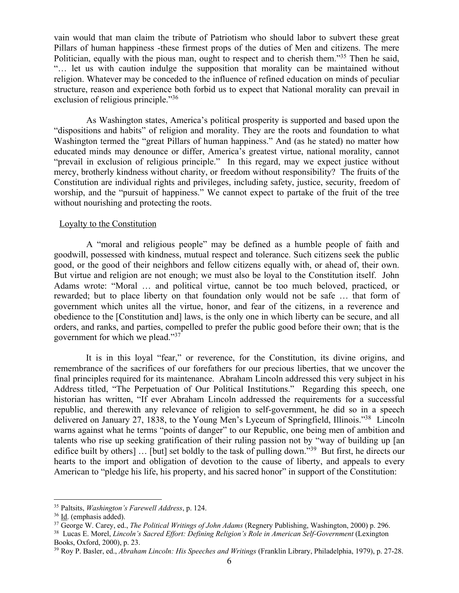vain would that man claim the tribute of Patriotism who should labor to subvert these great Pillars of human happiness -these firmest props of the duties of Men and citizens. The mere Politician, equally with the pious man, ought to respect and to cherish them."<sup>35</sup> Then he said, "… let us with caution indulge the supposition that morality can be maintained without religion. Whatever may be conceded to the influence of refined education on minds of peculiar structure, reason and experience both forbid us to expect that National morality can prevail in exclusion of religious principle."36

As Washington states, America's political prosperity is supported and based upon the "dispositions and habits" of religion and morality. They are the roots and foundation to what Washington termed the "great Pillars of human happiness." And (as he stated) no matter how educated minds may denounce or differ, America's greatest virtue, national morality, cannot "prevail in exclusion of religious principle." In this regard, may we expect justice without mercy, brotherly kindness without charity, or freedom without responsibility? The fruits of the Constitution are individual rights and privileges, including safety, justice, security, freedom of worship, and the "pursuit of happiness." We cannot expect to partake of the fruit of the tree without nourishing and protecting the roots.

#### Loyalty to the Constitution

A "moral and religious people" may be defined as a humble people of faith and goodwill, possessed with kindness, mutual respect and tolerance. Such citizens seek the public good, or the good of their neighbors and fellow citizens equally with, or ahead of, their own. But virtue and religion are not enough; we must also be loyal to the Constitution itself. John Adams wrote: "Moral … and political virtue, cannot be too much beloved, practiced, or rewarded; but to place liberty on that foundation only would not be safe … that form of government which unites all the virtue, honor, and fear of the citizens, in a reverence and obedience to the [Constitution and] laws, is the only one in which liberty can be secure, and all orders, and ranks, and parties, compelled to prefer the public good before their own; that is the government for which we plead."37

It is in this loyal "fear," or reverence, for the Constitution, its divine origins, and remembrance of the sacrifices of our forefathers for our precious liberties, that we uncover the final principles required for its maintenance. Abraham Lincoln addressed this very subject in his Address titled, "The Perpetuation of Our Political Institutions." Regarding this speech, one historian has written, "If ever Abraham Lincoln addressed the requirements for a successful republic, and therewith any relevance of religion to self-government, he did so in a speech delivered on January 27, 1838, to the Young Men's Lyceum of Springfield, Illinois."<sup>38</sup> Lincoln warns against what he terms "points of danger" to our Republic, one being men of ambition and talents who rise up seeking gratification of their ruling passion not by "way of building up [an edifice built by others] ... [but] set boldly to the task of pulling down."<sup>39</sup> But first, he directs our hearts to the import and obligation of devotion to the cause of liberty, and appeals to every American to "pledge his life, his property, and his sacred honor" in support of the Constitution:

 <sup>35</sup> Paltsits, *Washington's Farewell Address*, p. 124.

<sup>36</sup> Id. (emphasis added).

<sup>&</sup>lt;sup>37</sup> George W. Carey, ed., *The Political Writings of John Adams* (Regnery Publishing, Washington, 2000) p. 296.

<sup>&</sup>lt;sup>38</sup> Lucas E. Morel, *Lincoln's Sacred Effort: Defining Religion's Role in American Self-Government* (Lexington Books, Oxford, 2000), p. 23.

<sup>39</sup> Roy P. Basler, ed., *Abraham Lincoln: His Speeches and Writings* (Franklin Library, Philadelphia, 1979), p. 27-28.